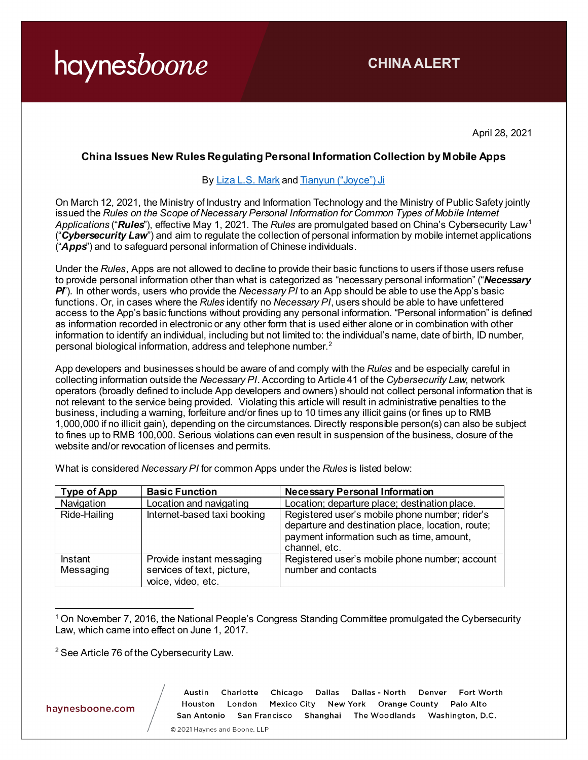### **CHINA ALERT**

April 28, 2021

#### **China Issues New Rules Regulating Personal Information Collection by Mobile Apps**

#### By [Liza L.S. Mark](https://www.haynesboone.com/people/m/mark-liza) an[d Tianyun \("Joyce"\) Ji](https://www.haynesboone.com/people/j/ji-tianyun)

On March 12, 2021, the Ministry of Industry and Information Technology and the Ministry of Public Safety jointly issued the *Rules on the Scope of Necessary Personal Information for Common Types of Mobile Internet Applications* ("*Rules*"), effective May 1, 2021. The *Rules* are promulgated based on China's Cybersecurity Law[1](#page-0-0) ("*Cybersecurity Law*") and aim to regulate the collection of personal information by mobile internet applications ("*Apps*") and to safeguard personal information of Chinese individuals.

Under the *Rules*, Apps are not allowed to decline to provide their basic functions to users if those users refuse to provide personal information other than what is categorized as "necessary personal information" ("*Necessary PI*"). In other words, users who provide the *Necessary PI* to an App should be able to use the App's basic functions. Or, in cases where the *Rules* identify no *Necessary PI*, users should be able to have unfettered access to the App's basic functions without providing any personal information. "Personal information" is defined as information recorded in electronic or any other form that is used either alone or in combination with other information to identify an individual, including but not limited to: the individual's name, date of birth, ID number, personal biological information, address and telephone number.[2](#page-0-1)

App developers and businesses should be aware of and comply with the *Rules* and be especially careful in collecting information outside the *Necessary PI*. According to Article 41 of the *Cybersecurity Law*, network operators (broadly defined to include App developers and owners) should not collect personal information that is not relevant to the service being provided. Violating this article will result in administrative penalties to the business, including a warning, forfeiture and/or fines up to 10 times any illicit gains (or fines up to RMB 1,000,000 if no illicit gain), depending on the circumstances. Directly responsible person(s) can also be subject to fines up to RMB 100,000. Serious violations can even result in suspension of the business, closure of the website and/or revocation of licenses and permits.

|  | What is considered Necessary PI for common Apps under the Rules is listed below: |
|--|----------------------------------------------------------------------------------|
|--|----------------------------------------------------------------------------------|

| Type of App          | <b>Basic Function</b>                                                         | <b>Necessary Personal Information</b>                                                                                                                             |
|----------------------|-------------------------------------------------------------------------------|-------------------------------------------------------------------------------------------------------------------------------------------------------------------|
| Navigation           | Location and navigating                                                       | Location; departure place; destination place.                                                                                                                     |
| Ride-Hailing         | Internet-based taxi booking                                                   | Registered user's mobile phone number; rider's<br>departure and destination place, location, route;<br>payment information such as time, amount,<br>channel, etc. |
| Instant<br>Messaging | Provide instant messaging<br>services of text, picture,<br>voice, video, etc. | Registered user's mobile phone number; account<br>number and contacts                                                                                             |

<span id="page-0-0"></span> $\overline{a}$ <sup>1</sup> On November 7, 2016, the National People's Congress Standing Committee promulgated the Cybersecurity Law, which came into effect on June 1, 2017.

<span id="page-0-1"></span> $2$  See Article 76 of the Cybersecurity Law.

haynesboone.com

Dallas - North Fort Worth Charlotte Chicago Dallas Denver Austin Houston London Mexico City New York Orange County Palo Alto San Antonio San Francisco Shanghai The Woodlands Washington, D.C.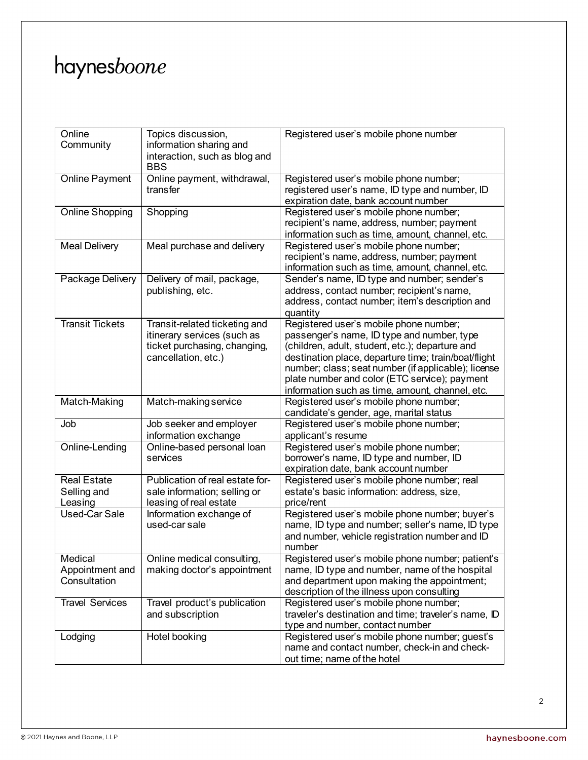| Online                          | Topics discussion,              | Registered user's mobile phone number                                                     |
|---------------------------------|---------------------------------|-------------------------------------------------------------------------------------------|
| Community                       | information sharing and         |                                                                                           |
|                                 | interaction, such as blog and   |                                                                                           |
|                                 | <b>BBS</b>                      |                                                                                           |
| <b>Online Payment</b>           | Online payment, withdrawal,     | Registered user's mobile phone number;                                                    |
|                                 | transfer                        | registered user's name, ID type and number, ID                                            |
| Online Shopping                 | Shopping                        | expiration date, bank account number<br>Registered user's mobile phone number;            |
|                                 |                                 | recipient's name, address, number; payment                                                |
|                                 |                                 | information such as time, amount, channel, etc.                                           |
| <b>Meal Delivery</b>            | Meal purchase and delivery      | Registered user's mobile phone number;                                                    |
|                                 |                                 | recipient's name, address, number; payment                                                |
|                                 |                                 | information such as time, amount, channel, etc.                                           |
| Package Delivery                | Delivery of mail, package,      | Sender's name, ID type and number; sender's                                               |
|                                 | publishing, etc.                | address, contact number; recipient's name,                                                |
|                                 |                                 | address, contact number; item's description and                                           |
|                                 |                                 | quantity                                                                                  |
| <b>Transit Tickets</b>          | Transit-related ticketing and   | Registered user's mobile phone number;                                                    |
|                                 | itinerary services (such as     | passenger's name, ID type and number, type                                                |
|                                 | ticket purchasing, changing,    | (children, adult, student, etc.); departure and                                           |
|                                 | cancellation, etc.)             | destination place, departure time; train/boat/flight                                      |
|                                 |                                 | number; class; seat number (if applicable); license                                       |
|                                 |                                 | plate number and color (ETC service); payment                                             |
|                                 |                                 | information such as time, amount, channel, etc.                                           |
| Match-Making                    | Match-making service            | Registered user's mobile phone number;                                                    |
|                                 |                                 | candidate's gender, age, marital status                                                   |
| Job                             | Job seeker and employer         | Registered user's mobile phone number;                                                    |
|                                 | information exchange            | applicant's resume                                                                        |
| Online-Lending                  | Online-based personal loan      | Registered user's mobile phone number;                                                    |
|                                 | services                        | borrower's name, ID type and number, ID                                                   |
| <b>Real Estate</b>              | Publication of real estate for- | expiration date, bank account number                                                      |
|                                 |                                 |                                                                                           |
|                                 |                                 | Registered user's mobile phone number; real                                               |
| Selling and                     | sale information; selling or    | estate's basic information: address, size,                                                |
| Leasing                         | leasing of real estate          | price/rent                                                                                |
| Used-Car Sale                   | Information exchange of         | Registered user's mobile phone number; buyer's                                            |
|                                 | used-car sale                   | name, ID type and number; seller's name, ID type                                          |
|                                 |                                 | and number, vehicle registration number and ID                                            |
|                                 |                                 | number                                                                                    |
| Medical                         | Online medical consulting,      | Registered user's mobile phone number; patient's                                          |
| Appointment and<br>Consultation | making doctor's appointment     | name, ID type and number, name of the hospital                                            |
|                                 |                                 | and department upon making the appointment;<br>description of the illness upon consulting |
| <b>Travel Services</b>          | Travel product's publication    | Registered user's mobile phone number;                                                    |
|                                 | and subscription                | traveler's destination and time; traveler's name, ID                                      |
|                                 |                                 | type and number, contact number                                                           |
| Lodging                         | Hotel booking                   | Registered user's mobile phone number; guest's                                            |
|                                 |                                 | name and contact number, check-in and check-<br>out time; name of the hotel               |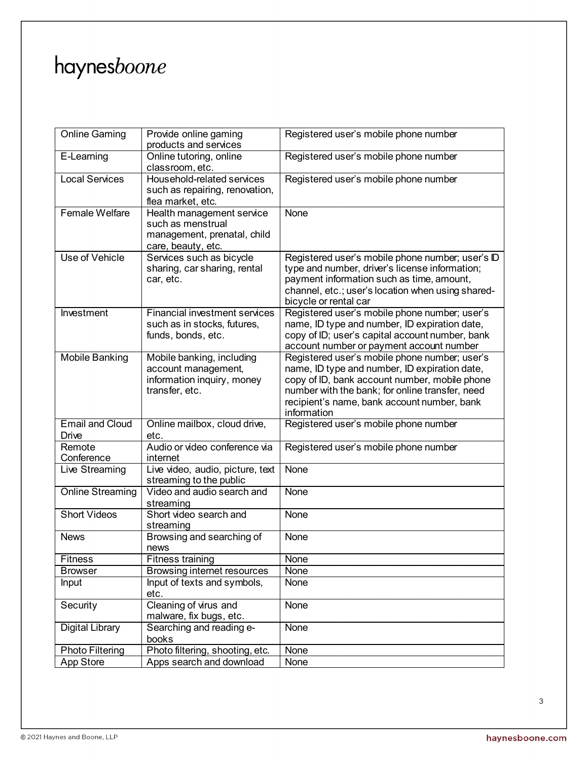| <b>Online Gaming</b>    | Provide online gaming<br>products and services              | Registered user's mobile phone number             |
|-------------------------|-------------------------------------------------------------|---------------------------------------------------|
| E-Learning              | Online tutoring, online                                     | Registered user's mobile phone number             |
|                         | classroom, etc.                                             |                                                   |
| <b>Local Services</b>   | Household-related services                                  | Registered user's mobile phone number             |
|                         | such as repairing, renovation,                              |                                                   |
|                         | flea market, etc.                                           |                                                   |
| Female Welfare          | Health management service                                   | None                                              |
|                         | such as menstrual                                           |                                                   |
|                         | management, prenatal, child                                 |                                                   |
|                         | care, beauty, etc.                                          |                                                   |
| Use of Vehicle          | Services such as bicycle                                    | Registered user's mobile phone number; user's ID  |
|                         | sharing, car sharing, rental                                | type and number, driver's license information;    |
|                         | car, etc.                                                   | payment information such as time, amount,         |
|                         |                                                             | channel, etc.; user's location when using shared- |
|                         |                                                             | bicycle or rental car                             |
| Investment              | <b>Financial investment services</b>                        | Registered user's mobile phone number; user's     |
|                         | such as in stocks, futures,                                 | name, ID type and number, ID expiration date,     |
|                         | funds, bonds, etc.                                          | copy of ID; user's capital account number, bank   |
|                         |                                                             | account number or payment account number          |
| <b>Mobile Banking</b>   | Mobile banking, including                                   | Registered user's mobile phone number; user's     |
|                         | account management,                                         | name, ID type and number, ID expiration date,     |
|                         | information inquiry, money                                  | copy of ID, bank account number, mobile phone     |
|                         | transfer, etc.                                              | number with the bank; for online transfer, need   |
|                         |                                                             | recipient's name, bank account number, bank       |
|                         |                                                             | information                                       |
| <b>Email and Cloud</b>  | Online mailbox, cloud drive,                                | Registered user's mobile phone number             |
| Drive                   | etc.                                                        |                                                   |
| Remote                  | Audio or video conference via                               | Registered user's mobile phone number             |
| Conference              | internet                                                    |                                                   |
| Live Streaming          | Live video, audio, picture, text<br>streaming to the public | None                                              |
| <b>Online Streaming</b> | Video and audio search and                                  | None                                              |
|                         | streaming                                                   |                                                   |
| Short Videos            | Short video search and                                      | None                                              |
|                         | streaming                                                   |                                                   |
| <b>News</b>             | Browsing and searching of                                   | None                                              |
|                         | news                                                        |                                                   |
| <b>Fitness</b>          | <b>Fitness training</b>                                     | <b>None</b>                                       |
| <b>Browser</b>          | Browsing internet resources                                 | None                                              |
| Input                   | Input of texts and symbols,                                 | None                                              |
|                         | etc.                                                        |                                                   |
| Security                | Cleaning of virus and                                       | None                                              |
|                         | malware, fix bugs, etc.                                     |                                                   |
| <b>Digital Library</b>  | Searching and reading e-                                    | None                                              |
|                         | books                                                       |                                                   |
| <b>Photo Filtering</b>  | Photo filtering, shooting, etc.                             | None                                              |
| <b>App Store</b>        | Apps search and download                                    | <b>None</b>                                       |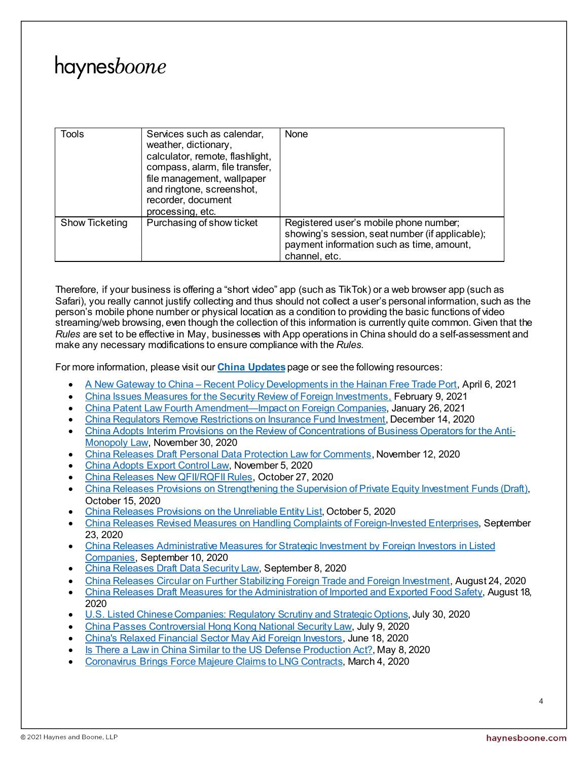| Tools          | Services such as calendar,<br>weather, dictionary,<br>calculator, remote, flashlight,<br>compass, alarm, file transfer,<br>file management, wallpaper<br>and ringtone, screenshot,<br>recorder, document<br>processing, etc. | None                                                                                                                                                    |
|----------------|------------------------------------------------------------------------------------------------------------------------------------------------------------------------------------------------------------------------------|---------------------------------------------------------------------------------------------------------------------------------------------------------|
| Show Ticketing | Purchasing of show ticket                                                                                                                                                                                                    | Registered user's mobile phone number;<br>showing's session, seat number (if applicable);<br>payment information such as time, amount,<br>channel, etc. |

Therefore, if your business is offering a "short video" app (such as TikTok) or a web browser app (such as Safari), you really cannot justify collecting and thus should not collect a user's personal information, such as the person's mobile phone number or physical location as a condition to providing the basic functions of video streaming/web browsing, even though the collection of this information is currently quite common. Given that the *Rules* are set to be effective in May, businesses with App operations in China should do a self-assessment and make any necessary modifications to ensure compliance with the *Rules*.

For more information, please visit our **[China Updates](https://www.haynesboone.com/experience/trending-issues/china-updates)**page or see the following resources:

- A New Gateway to China [Recent Policy Developments in the Hainan Free Trade Port,](https://www.haynesboone.com/alerts/a-new-gateway-to-china-recent-policy-developments-in-the-hainan-free-trade-port) April 6, 2021
- [China Issues Measures for the Security Review of Foreign Investments,](https://www.haynesboone.com/alerts/measures-for-the-security-review-of-foreign-investments) February 9, 2021
- [China Patent Law Fourth Amendment—Impact on Foreign Companies,](https://www.haynesboone.com/alerts/china-patent-law-fourth-amendment-impact-on-foreign-companies) January 26, 2021
- [China Regulators Remove Restrictions on Insurance Fund Investment,](https://www.haynesboone.com/alerts/china-removes-restrictions-on-insurance-fund-investment) December 14, 2020
- [China Adopts Interim Provisions on the Review of Concentrations of Business Operators for the Anti-](https://www.haynesboone.com/alerts/china-adopts-interim-provisions-on-review-of-business-operators)[Monopoly Law,](https://www.haynesboone.com/alerts/china-adopts-interim-provisions-on-review-of-business-operators) November 30, 2020
- [China Releases Draft Personal Data Protection Law for Comments](https://www.haynesboone.com/alerts/china-releases-draft-personal-data-protection-law-for-comments), November 12, 2020
- [China Adopts Export Control Law,](https://www.haynesboone.com/alerts/china-adopts-export-control-law) November 5, 2020
- [China Releases New QFII/RQFII Rules,](https://www.haynesboone.com/alerts/china-releases-new-qfii-and-rqfii-rules) October 27, 2020
- [China Releases Provisions on Strengthening the Supervision of Private Equity Investment Funds \(Draft\),](https://www.haynesboone.com/alerts/china-releases-provisions-strengthening-supervision-of-pe-investment-funds) October 15, 2020
- [China Releases Provisions on the Unreliable Entity List](https://www.haynesboone.com/alerts/china-releases-provisions-on-the-unreliable-entity-list), October 5, 2020
- [China Releases Revised Measures on Handling Complaints of Foreign-Invested Enterprises,](https://www.haynesboone.com/alerts/china-revised-measures-on-handling-complaints-of-foreign-invested-enterprises) September 23, 2020
- [China Releases Administrative Measures for Strategic Investment by Foreign Investors in Listed](https://www.haynesboone.com/alerts/china-releases-administrative-measures-for-strategic-investment-by-foreign-investors)  [Companies,](https://www.haynesboone.com/alerts/china-releases-administrative-measures-for-strategic-investment-by-foreign-investors) September 10, 2020
- [China Releases Draft Data Security Law,](https://www.haynesboone.com/alerts/china-releases-draft-data-security-law) September 8, 2020
- [China Releases Circular on Further Stabilizing Foreign Trade and Foreign Investment,](https://www.haynesboone.com/alerts/china-releases-circular-on-stabilizing-foreign-trade-and-investment) August 24, 2020
- [China Releases Draft Measures for the Administration of Imported and Exported Food Safety,](https://www.haynesboone.com/alerts/china-releases-draft-measures-for-the-administration-of-imported-and-exported-food-safety) August 18, 2020
- [U.S. Listed Chinese Companies: Regulatory Scrutiny and Strategic Options,](https://www.haynesboone.com/alerts/us-listed-chinese-companies-options) July 30, 2020
- [China Passes Controversial Hong Kong National Security Law,](https://www.haynesboone.com/alerts/china-passes-controversial-hong-kong-national-security-law) July 9, 2020
- [China's Relaxed Financial Sector May Aid Foreign Investors,](https://www.haynesboone.com/alerts/china-relaxed-financial-sector-may-aid-foreign-investors) June 18, 2020
- [Is There a Law in China Similar to the US Defense Production Act?](https://www.haynesboone.com/alerts/is-there-a-law-in-china-similar-to-the-us-defense-production-act), May 8, 2020
- [Coronavirus Brings Force Majeure Claims to LNG Contracts,](https://www.haynesboone.com/publications/patterson-wong-on-coronavirus-lng-contract-force-majeure-claims) March 4, 2020